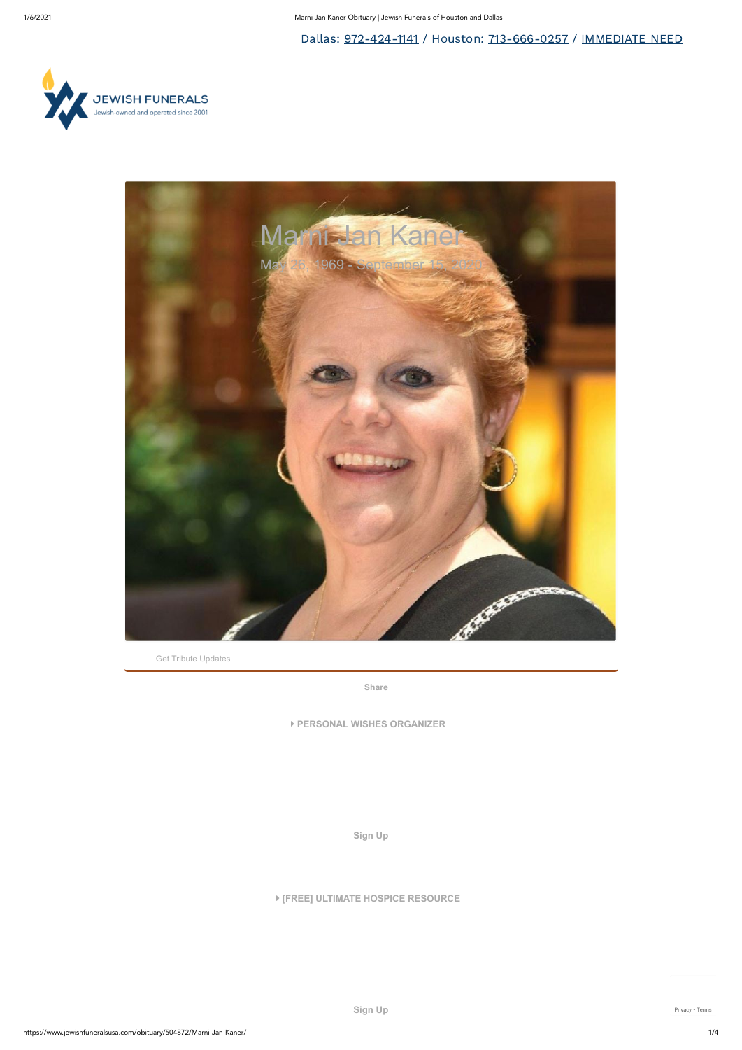Get Tribute Updates



**[Share](https://www.facebook.com/sharer/sharer.php?kid_directed_site=0&sdk=joey&u=https%3A%2F%2Fwww.jewishfuneralsusa.com%2Fobituary%2F504872%2FMarni-Jan-Kaner%2F&display=popup&ref=plugin&src=share_button)**

**PERSONAL WISHES ORGANIZER**

**[Sign Up](https://funeralinnovations.com/campaigns/signup/11445/204787?source=website)**

## **[FREE] ULTIMATE HOSPICE RESOURCE**

**[Sign Up](https://funeralinnovations.com/campaigns/signup/9695/204787?source=website)** [Privacy](https://www.google.com/intl/en/policies/privacy/) - [Terms](https://www.google.com/intl/en/policies/terms/)

Dallas: [972-424-1141](tel:972-424-1141) / Houston: [713-666-0257](tel:713-666-0257) / [IMMEDIATE](https://www.jewishfuneralsusa.com/immediate-need/) NEED

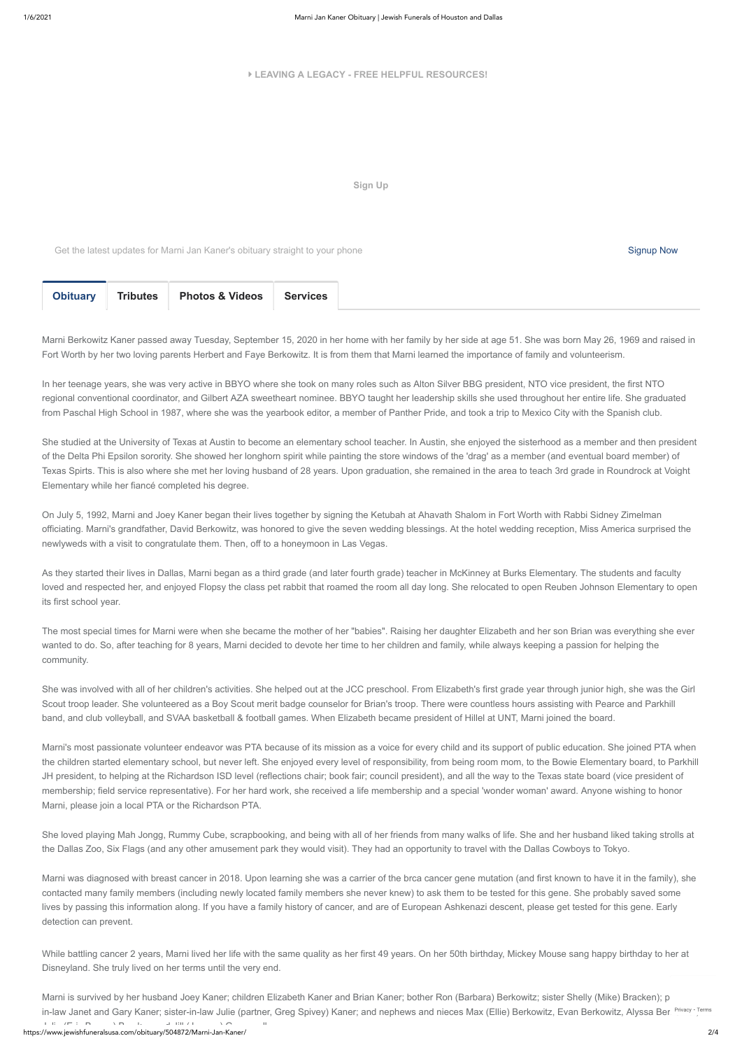https://www.jewishfuneralsusa.com/obituary/504872/Marni-Jan-Kaner/ 2/4 J li (E i B ) B k d Jill (J ) G ll Marni is survived by her husband Joey Kaner; children Elizabeth Kaner and Brian Kaner; bother Ron (Barbara) Berkowitz; sister Shelly (Mike) Bracken); particle of in-law Janet and Gary Kaner; sister-in-law Julie (partner, Greg Spivey) Kaner; and nephews and nieces Max (Ellie) Ber[kowitz](https://www.google.com/intl/en/policies/privacy/), Evan Berkowitz, Alyssa Berk<sup>Privacy - [Terms](https://www.google.com/intl/en/policies/terms/)</sup>

## **LEAVING A LEGACY - FREE HELPFUL RESOURCES!**

**[Sign Up](https://funeralinnovations.com/campaigns/signup/681/204787?source=website)**

Get the latest updates for Marni Jan Kaner's obituary straight to your phone Signup Now Signup Now Signup Now

<span id="page-1-0"></span>

| <b>Obituary</b> | <b>Tributes</b> | <b>Photos &amp; Videos</b> | <b>Services</b> |  |
|-----------------|-----------------|----------------------------|-----------------|--|
|                 |                 |                            |                 |  |

Marni Berkowitz Kaner passed away Tuesday, September 15, 2020 in her home with her family by her side at age 51. She was born May 26, 1969 and raised in Fort Worth by her two loving parents Herbert and Faye Berkowitz. It is from them that Marni learned the importance of family and volunteerism.

In her teenage years, she was very active in BBYO where she took on many roles such as Alton Silver BBG president, NTO vice president, the first NTO regional conventional coordinator, and Gilbert AZA sweetheart nominee. BBYO taught her leadership skills she used throughout her entire life. She graduated from Paschal High School in 1987, where she was the yearbook editor, a member of Panther Pride, and took a trip to Mexico City with the Spanish club.

She studied at the University of Texas at Austin to become an elementary school teacher. In Austin, she enjoyed the sisterhood as a member and then president of the Delta Phi Epsilon sorority. She showed her longhorn spirit while painting the store windows of the 'drag' as a member (and eventual board member) of Texas Spirts. This is also where she met her loving husband of 28 years. Upon graduation, she remained in the area to teach 3rd grade in Roundrock at Voight Elementary while her fiancé completed his degree.

On July 5, 1992, Marni and Joey Kaner began their lives together by signing the Ketubah at Ahavath Shalom in Fort Worth with Rabbi Sidney Zimelman officiating. Marni's grandfather, David Berkowitz, was honored to give the seven wedding blessings. At the hotel wedding reception, Miss America surprised the newlyweds with a visit to congratulate them. Then, off to a honeymoon in Las Vegas.

As they started their lives in Dallas, Marni began as a third grade (and later fourth grade) teacher in McKinney at Burks Elementary. The students and faculty loved and respected her, and enjoyed Flopsy the class pet rabbit that roamed the room all day long. She relocated to open Reuben Johnson Elementary to open its first school year.

The most special times for Marni were when she became the mother of her "babies". Raising her daughter Elizabeth and her son Brian was everything she ever wanted to do. So, after teaching for 8 years, Marni decided to devote her time to her children and family, while always keeping a passion for helping the community.

She was involved with all of her children's activities. She helped out at the JCC preschool. From Elizabeth's first grade year through junior high, she was the Girl Scout troop leader. She volunteered as a Boy Scout merit badge counselor for Brian's troop. There were countless hours assisting with Pearce and Parkhill band, and club volleyball, and SVAA basketball & football games. When Elizabeth became president of Hillel at UNT, Marni joined the board.

Marni's most passionate volunteer endeavor was PTA because of its mission as a voice for every child and its support of public education. She joined PTA when the children started elementary school, but never left. She enjoyed every level of responsibility, from being room mom, to the Bowie Elementary board, to Parkhill JH president, to helping at the Richardson ISD level (reflections chair; book fair; council president), and all the way to the Texas state board (vice president of membership; field service representative). For her hard work, she received a life membership and a special 'wonder woman' award. Anyone wishing to honor Marni, please join a local PTA or the Richardson PTA.

She loved playing Mah Jongg, Rummy Cube, scrapbooking, and being with all of her friends from many walks of life. She and her husband liked taking strolls at the Dallas Zoo, Six Flags (and any other amusement park they would visit). They had an opportunity to travel with the Dallas Cowboys to Tokyo.

Marni was diagnosed with breast cancer in 2018. Upon learning she was a carrier of the brca cancer gene mutation (and first known to have it in the family), she contacted many family members (including newly located family members she never knew) to ask them to be tested for this gene. She probably saved some lives by passing this information along. If you have a family history of cancer, and are of European Ashkenazi descent, please get tested for this gene. Early detection can prevent.

While battling cancer 2 years, Marni lived her life with the same quality as her first 49 years. On her 50th birthday, Mickey Mouse sang happy birthday to her at Disneyland. She truly lived on her terms until the very end.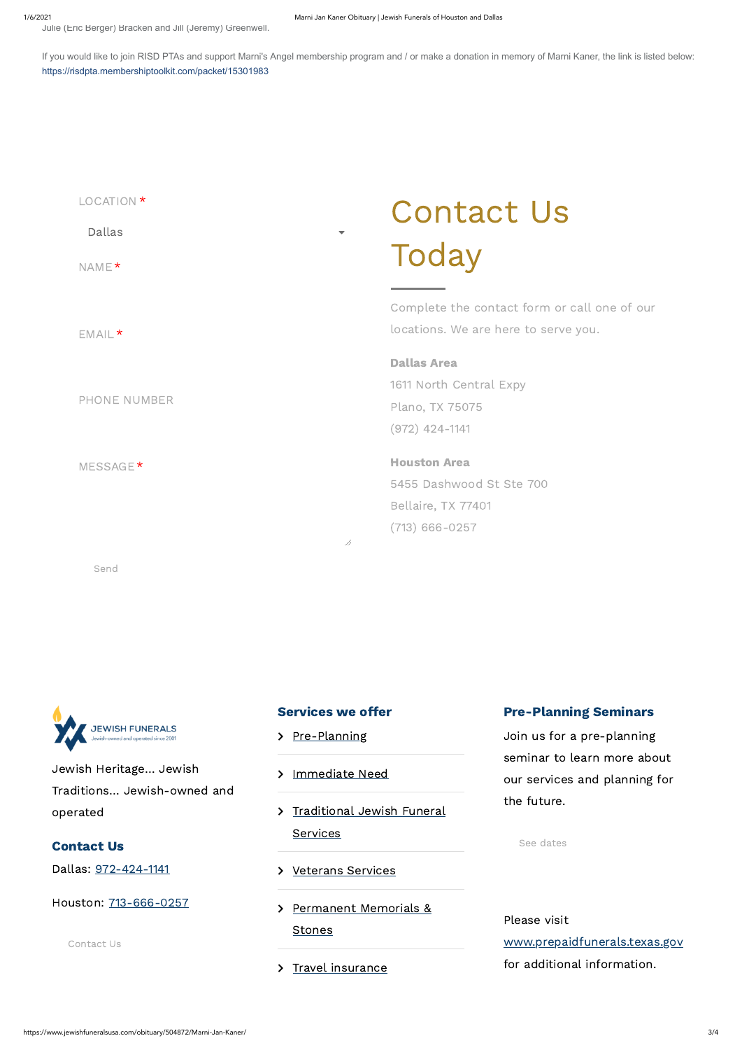Julie (Eric Berger) Bracken and Jill (Jeremy) Greenwell.

If you would like to join RISD PTAs and support Marni's Angel membership program and / or make a donation in memory of Marni Kaner, the link is listed below: <https://risdpta.membershiptoolkit.com/packet/15301983>

Send



| LOCATION *<br>Dallas<br>NAME <sup>*</sup>        | <b>Contact Us</b><br>Today                                                                |
|--------------------------------------------------|-------------------------------------------------------------------------------------------|
| $EMAIL*$                                         | Complete the contact form or call one of our<br>locations. We are here to serve you.      |
| <b>PHONE NUMBER</b>                              | <b>Dallas Area</b><br>1611 North Central Expy<br>Plano, TX 75075<br>$(972)$ 424-1141      |
| MESSAGE <sup>*</sup><br>$\overline{\mathcal{A}}$ | <b>Houston Area</b><br>5455 Dashwood St Ste 700<br>Bellaire, TX 77401<br>$(713)$ 666-0257 |



Jewish Heritage… Jewish Traditions… Jewish-owned and

## **Services we offer**

- > [Pre-Planning](https://www.jewishfuneralsusa.com/preplanning)
- > [Immediate](https://www.jewishfuneralsusa.com/immediate-need) Need

operated

Contact Us

Dallas: [972-424-1141](tel: 952-424-1141)

Houston: [713-666-0257](tel: 713-666-0257)

[Contact](https://www.jewishfuneralsusa.com/contact) Us

> [Traditional](https://www.jewishfuneralsusa.com/traditional-jewish-funeral-services/) Jewish Funeral

**Services** 

[Permanent](https://www.jewishfuneralsusa.com/permanent-memorialization/) Memorials &

**Stones** 

> Travel [insurance](https://www.jewishfuneralsusa.com/travel-insurance/)

## Pre-Planning Seminars

Join us for a pre-planning seminar to learn more about our services and planning for

the future.

> [Veterans](https://www.jewishfuneralsusa.com/veterans-services/) Services

See [dates](https://www.jewishfuneralsusa.com/pre-planning-seminars/)

Please visit

[www.prepaidfunerals.texas.gov](http://www.prepaidfunerals.texas.gov/)

for additional information.